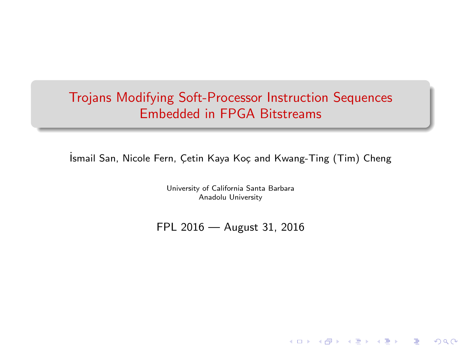# Trojans Modifying Soft-Processor Instruction Sequences Embedded in FPGA Bitstreams

İsmail San, Nicole Fern, Çetin Kaya Koç and Kwang-Ting (Tim) Cheng

University of California Santa Barbara Anadolu University

FPL 2016 — August 31, 2016

K ロ X (個) | K 差 X | K 差 X | 1 差

 $299$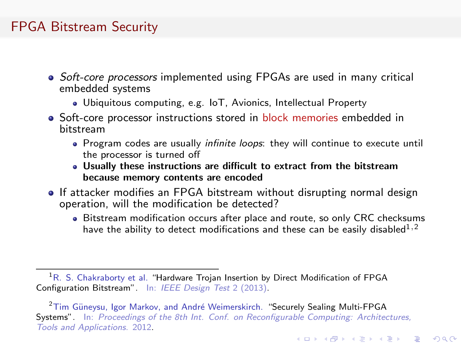### FPGA Bitstream Security

- Soft-core processors implemented using FPGAs are used in many critical embedded systems
	- Ubiquitous computing, e.g. IoT, Avionics, Intellectual Property
- Soft-core processor instructions stored in block memories embedded in bitstream
	- Program codes are usually *infinite loops*: they will continue to execute until the processor is turned off
	- Usually these instructions are difficult to extract from the bitstream because memory contents are encoded
- If attacker modifies an FPGA bitstream without disrupting normal design operation, will the modification be detected?
	- Bitstream modification occurs after place and route, so only CRC checksums have the ability to detect modifications and these can be easily disabled<sup>1,2</sup>

**KORK ERKER ADE YOUR** 

<sup>2</sup>Tim Güneysu, Igor Markov, and André Weimerskirch. "Securely Sealing Multi-FPGA Systems". In: Proceedings of the 8th Int. Conf. on Reconfigurable Computing: Architectures, Tools and Applications. 2012.

<sup>&</sup>lt;sup>1</sup>R. S. Chakraborty et al. "Hardware Trojan Insertion by Direct Modification of FPGA Configuration Bitstream". In: IEEE Design Test 2 (2013).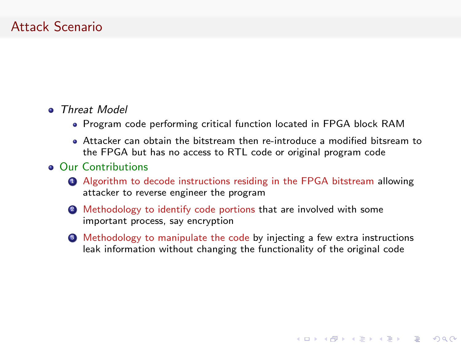### Attack Scenario

#### **a** Threat Model

- Program code performing critical function located in FPGA block RAM
- Attacker can obtain the bitstream then re-introduce a modified bitsream to the FPGA but has no access to RTL code or original program code

#### **• Our Contributions**

- **4** Algorithm to decode instructions residing in the FPGA bitstream allowing attacker to reverse engineer the program
- **2** Methodology to identify code portions that are involved with some important process, say encryption
- **3** Methodology to manipulate the code by injecting a few extra instructions leak information without changing the functionality of the original code

**KORK ERKER ER AGA**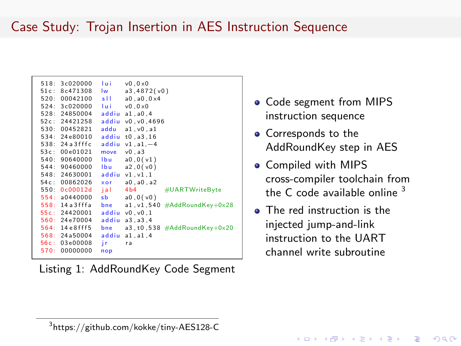# Case Study: Trojan Insertion in AES Instruction Sequence

Listing 1: AddRoundKey Code Segment

- Code segment from MIPS instruction sequence
- Corresponds to the AddRoundKey step in AES
- **Compiled with MIPS** cross-compiler toolchain from the C code available online  $3$
- **•** The red instruction is the injected jump-and-link instruction to the UART channel write subroutine

<sup>3</sup> https://github.com/kokke/tiny-AES128-C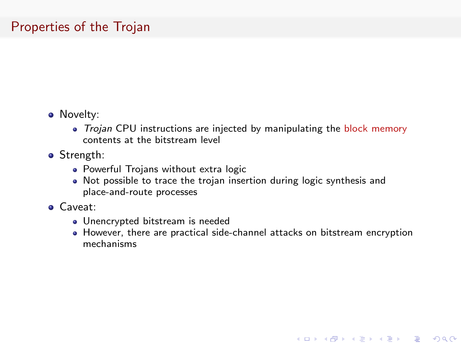## Properties of the Trojan

- Novelty:
	- Trojan CPU instructions are injected by manipulating the block memory contents at the bitstream level
- **•** Strength:
	- Powerful Trojans without extra logic
	- Not possible to trace the trojan insertion during logic synthesis and place-and-route processes
- Caveat:
	- Unencrypted bitstream is needed
	- However, there are practical side-channel attacks on bitstream encryption mechanisms

**KORK ERKER ER AGA**